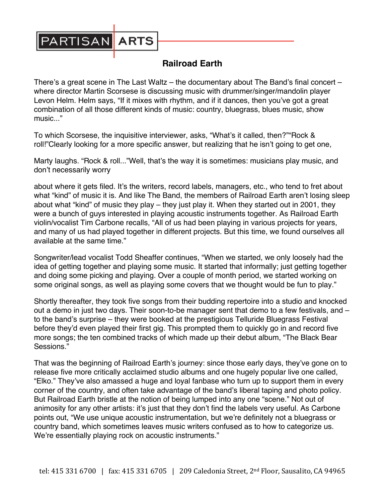

## **Railroad Earth**

There's a great scene in The Last Waltz – the documentary about The Band's final concert – where director Martin Scorsese is discussing music with drummer/singer/mandolin player Levon Helm. Helm says, "If it mixes with rhythm, and if it dances, then you've got a great combination of all those different kinds of music: country, bluegrass, blues music, show music..."

To which Scorsese, the inquisitive interviewer, asks, "What's it called, then?""Rock & roll!"Clearly looking for a more specific answer, but realizing that he isn't going to get one,

Marty laughs. "Rock & roll..."Well, that's the way it is sometimes: musicians play music, and don't necessarily worry

about where it gets filed. It's the writers, record labels, managers, etc., who tend to fret about what "kind" of music it is. And like The Band, the members of Railroad Earth aren't losing sleep about what "kind" of music they play – they just play it. When they started out in 2001, they were a bunch of guys interested in playing acoustic instruments together. As Railroad Earth violin/vocalist Tim Carbone recalls, "All of us had been playing in various projects for years, and many of us had played together in different projects. But this time, we found ourselves all available at the same time."

Songwriter/lead vocalist Todd Sheaffer continues, "When we started, we only loosely had the idea of getting together and playing some music. It started that informally; just getting together and doing some picking and playing. Over a couple of month period, we started working on some original songs, as well as playing some covers that we thought would be fun to play."

Shortly thereafter, they took five songs from their budding repertoire into a studio and knocked out a demo in just two days. Their soon-to-be manager sent that demo to a few festivals, and – to the band's surprise – they were booked at the prestigious Telluride Bluegrass Festival before they'd even played their first gig. This prompted them to quickly go in and record five more songs; the ten combined tracks of which made up their debut album, "The Black Bear Sessions."

That was the beginning of Railroad Earth's journey: since those early days, they've gone on to release five more critically acclaimed studio albums and one hugely popular live one called, "Elko." They've also amassed a huge and loyal fanbase who turn up to support them in every corner of the country, and often take advantage of the band's liberal taping and photo policy. But Railroad Earth bristle at the notion of being lumped into any one "scene." Not out of animosity for any other artists: it's just that they don't find the labels very useful. As Carbone points out, "We use unique acoustic instrumentation, but we're definitely not a bluegrass or country band, which sometimes leaves music writers confused as to how to categorize us. We're essentially playing rock on acoustic instruments."